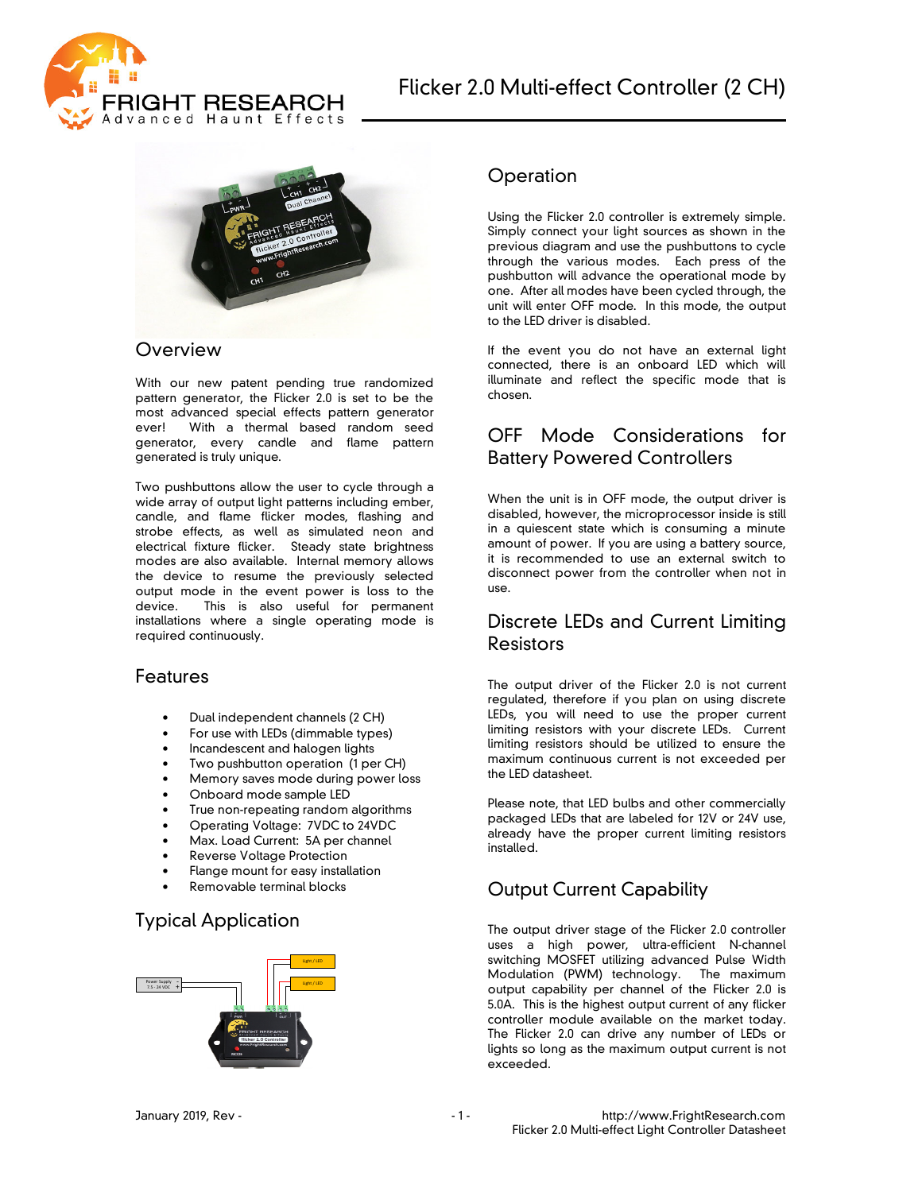



#### **Overview**

With our new patent pending true randomized pattern generator, the Flicker 2.0 is set to be the most advanced special effects pattern generator ever! With a thermal based random seed generator, every candle and flame pattern generated is truly unique.

Two pushbuttons allow the user to cycle through a wide array of output light patterns including ember, candle, and flame flicker modes, flashing and strobe effects, as well as simulated neon and electrical fixture flicker. Steady state brightness modes are also available. Internal memory allows the device to resume the previously selected output mode in the event power is loss to the device. This is also useful for permanent installations where a single operating mode is required continuously.

#### **Features**

- Dual independent channels (2 CH)
- For use with LEDs (dimmable types)
- Incandescent and halogen lights
- Two pushbutton operation (1 per CH)
- Memory saves mode during power loss
- Onboard mode sample LED
- True non-repeating random algorithms
- Operating Voltage: 7VDC to 24VDC
- Max. Load Current: 5A per channel
- Reverse Voltage Protection
- Flange mount for easy installation
- Removable terminal blocks

## Typical Application



### **Operation**

Using the Flicker 2.0 controller is extremely simple. Simply connect your light sources as shown in the previous diagram and use the pushbuttons to cycle through the various modes. Each press of the pushbutton will advance the operational mode by one. After all modes have been cycled through, the unit will enter OFF mode. In this mode, the output to the LED driver is disabled.

If the event you do not have an external light connected, there is an onboard LED which will illuminate and reflect the specific mode that is chosen.

## OFF Mode Considerations for Battery Powered Controllers

When the unit is in OFF mode, the output driver is disabled, however, the microprocessor inside is still in a quiescent state which is consuming a minute amount of power. If you are using a battery source, it is recommended to use an external switch to disconnect power from the controller when not in use.

## Discrete LEDs and Current Limiting Resistors

The output driver of the Flicker 2.0 is not current regulated, therefore if you plan on using discrete LEDs, you will need to use the proper current limiting resistors with your discrete LEDs. Current limiting resistors should be utilized to ensure the maximum continuous current is not exceeded per the LED datasheet.

Please note, that LED bulbs and other commercially packaged LEDs that are labeled for 12V or 24V use, already have the proper current limiting resistors installed.

# Output Current Capability

The output driver stage of the Flicker 2.0 controller uses a high power, ultra-efficient N-channel switching MOSFET utilizing advanced Pulse Width Modulation (PWM) technology. The maximum output capability per channel of the Flicker 2.0 is 5.0A. This is the highest output current of any flicker controller module available on the market today. The Flicker 2.0 can drive any number of LEDs or lights so long as the maximum output current is not exceeded.